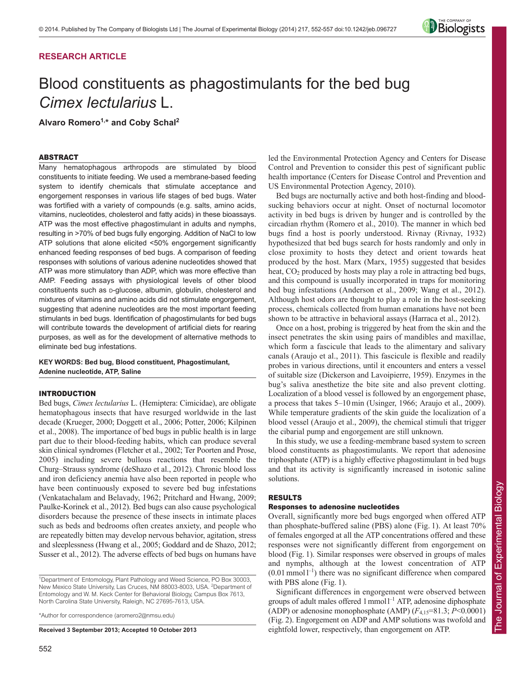# **RESEARCH ARTICLE**



# Blood constituents as phagostimulants for the bed bug *Cimex lectularius* L.

**Alvaro Romero1,\* and Coby Schal2**

## ABSTRACT

Many hematophagous arthropods are stimulated by blood constituents to initiate feeding. We used a membrane-based feeding system to identify chemicals that stimulate acceptance and engorgement responses in various life stages of bed bugs. Water was fortified with a variety of compounds (e.g. salts, amino acids, vitamins, nucleotides, cholesterol and fatty acids) in these bioassays. ATP was the most effective phagostimulant in adults and nymphs, resulting in >70% of bed bugs fully engorging. Addition of NaCl to low ATP solutions that alone elicited <50% engorgement significantly enhanced feeding responses of bed bugs. A comparison of feeding responses with solutions of various adenine nucleotides showed that ATP was more stimulatory than ADP, which was more effective than AMP. Feeding assays with physiological levels of other blood constituents such as **D-glucose**, albumin, globulin, cholesterol and mixtures of vitamins and amino acids did not stimulate engorgement, suggesting that adenine nucleotides are the most important feeding stimulants in bed bugs. Identification of phagostimulants for bed bugs will contribute towards the development of artificial diets for rearing purposes, as well as for the development of alternative methods to eliminate bed bug infestations.

## **KEY WORDS: Bed bug, Blood constituent, Phagostimulant, Adenine nucleotide, ATP, Saline**

#### INTRODUCTION

Bed bugs, *Cimex lectularius* L. (Hemiptera: Cimicidae), are obligate hematophagous insects that have resurged worldwide in the last decade (Krueger, 2000; Doggett et al., 2006; Potter, 2006; Kilpinen et al., 2008). The importance of bed bugs in public health is in large part due to their blood-feeding habits, which can produce several skin clinical syndromes (Fletcher et al., 2002; Ter Poorten and Prose, 2005) including severe bullous reactions that resemble the Churg–Strauss syndrome (deShazo et al., 2012). Chronic blood loss and iron deficiency anemia have also been reported in people who have been continuously exposed to severe bed bug infestations (Venkatachalam and Belavady, 1962; Pritchard and Hwang, 2009; Paulke-Korinek et al., 2012). Bed bugs can also cause psychological disorders because the presence of these insects in intimate places such as beds and bedrooms often creates anxiety, and people who are repeatedly bitten may develop nervous behavior, agitation, stress and sleeplessness (Hwang et al., 2005; Goddard and de Shazo, 2012; Susser et al., 2012). The adverse effects of bed bugs on humans have

\*Author for correspondence (aromero2@nmsu.edu)

**Received 3 September 2013; Accepted 10 October 2013**

led the Environmental Protection Agency and Centers for Disease Control and Prevention to consider this pest of significant public health importance (Centers for Disease Control and Prevention and US Environmental Protection Agency, 2010).

Bed bugs are nocturnally active and both host-finding and bloodsucking behaviors occur at night. Onset of nocturnal locomotor activity in bed bugs is driven by hunger and is controlled by the circadian rhythm (Romero et al., 2010). The manner in which bed bugs find a host is poorly understood. Rivnay (Rivnay, 1932) hypothesized that bed bugs search for hosts randomly and only in close proximity to hosts they detect and orient towards heat produced by the host. Marx (Marx, 1955) suggested that besides heat,  $CO<sub>2</sub>$  produced by hosts may play a role in attracting bed bugs, and this compound is usually incorporated in traps for monitoring bed bug infestations (Anderson et al., 2009; Wang et al., 2012). Although host odors are thought to play a role in the host-seeking process, chemicals collected from human emanations have not been shown to be attractive in behavioral assays (Harraca et al., 2012).

Once on a host, probing is triggered by heat from the skin and the insect penetrates the skin using pairs of mandibles and maxillae, which form a fascicule that leads to the alimentary and salivary canals (Araujo et al., 2011). This fascicule is flexible and readily probes in various directions, until it encounters and enters a vessel of suitable size (Dickerson and Lavoipierre, 1959). Enzymes in the bug's saliva anesthetize the bite site and also prevent clotting. Localization of a blood vessel is followed by an engorgement phase, a process that takes 5–10 min (Usinger, 1966; Araujo et al., 2009). While temperature gradients of the skin guide the localization of a blood vessel (Araujo et al., 2009), the chemical stimuli that trigger the cibarial pump and engorgement are still unknown.

In this study, we use a feeding-membrane based system to screen blood constituents as phagostimulants. We report that adenosine triphosphate (ATP) is a highly effective phagostimulant in bed bugs and that its activity is significantly increased in isotonic saline solutions.

## RESULTS

### Responses to adenosine nucleotides

Overall, significantly more bed bugs engorged when offered ATP than phosphate-buffered saline (PBS) alone (Fig. 1). At least 70% of females engorged at all the ATP concentrations offered and these responses were not significantly different from engorgement on blood (Fig. 1). Similar responses were observed in groups of males and nymphs, although at the lowest concentration of ATP  $(0.01 \text{ mmol } 1^{-1})$  there was no significant difference when compared with PBS alone (Fig. 1).

Significant differences in engorgement were observed between groups of adult males offered 1 mmol  $1^{-1}$  ATP, adenosine diphosphate (ADP) or adenosine monophosphate (AMP)  $(F_{4,15} = 81.3; P \le 0.0001)$ (Fig. 2). Engorgement on ADP and AMP solutions was twofold and eightfold lower, respectively, than engorgement on ATP.

<sup>&</sup>lt;sup>1</sup>Department of Entomology, Plant Pathology and Weed Science, PO Box 30003, New Mexico State University, Las Cruces, NM 88003-8003, USA. <sup>2</sup>Department of Entomology and W. M. Keck Center for Behavioral Biology, Campus Box 7613, North Carolina State University, Raleigh, NC 27695-7613, USA.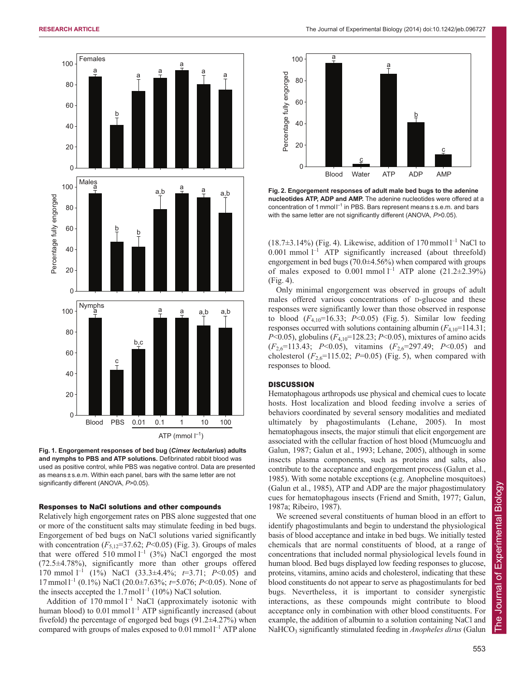

**Fig. 1. Engorgement responses of bed bug (***Cimex lectularius***) adults and nymphs to PBS and ATP solutions.** Defibrinated rabbit blood was used as positive control, while PBS was negative control. Data are presented as means ± s.e.m. Within each panel, bars with the same letter are not significantly different (ANOVA, *P*>0.05).

### Responses to NaCl solutions and other compounds

Relatively high engorgement rates on PBS alone suggested that one or more of the constituent salts may stimulate feeding in bed bugs. Engorgement of bed bugs on NaCl solutions varied significantly with concentration  $(F_{5,12}=37.62; P<0.05)$  (Fig. 3). Groups of males that were offered 510 mmol  $l^{-1}$  (3%) NaCl engorged the most (72.5±4.78%), significantly more than other groups offered 170 mmol l–1 (1%) NaCl (33.3±4.4%; *t*=3.71; *P*<0.05) and 17 mmol l–1 (0.1%) NaCl (20.0±7.63%; *t*=5.076; *P*<0.05). None of the insects accepted the  $1.7 \text{ mol}^{-1}$  (10%) NaCl solution.

Addition of  $170$  mmol  $l^{-1}$  NaCl (approximately isotonic with human blood) to  $0.01$  mmol  $l^{-1}$  ATP significantly increased (about fivefold) the percentage of engorged bed bugs  $(91.2\pm4.27%)$  when compared with groups of males exposed to  $0.01$  mmol  $1^{-1}$  ATP alone



**Fig. 2. Engorgement responses of adult male bed bugs to the adenine nucleotides ATP, ADP and AMP.** The adenine nucleotides were offered at a concentration of 1 mmol  $I^{-1}$  in PBS. Bars represent means  $\pm$  s.e.m. and bars with the same letter are not significantly different (ANOVA, *P*>0.05).

 $(18.7\pm3.14\%)$  (Fig. 4). Likewise, addition of 170 mmol  $1^{-1}$  NaCl to  $0.001$  mmol  $l^{-1}$  ATP significantly increased (about threefold) engorgement in bed bugs (70.0±4.56%) when compared with groups of males exposed to 0.001 mmol  $l^{-1}$  ATP alone (21.2 $\pm$ 2.39%) (Fig. 4).

Only minimal engorgement was observed in groups of adult males offered various concentrations of D-glucose and these responses were significantly lower than those observed in response to blood  $(F_{4,10} = 16.33; P < 0.05)$  (Fig. 5). Similar low feeding responses occurred with solutions containing albumin  $(F_{4,10}=114.31)$ ; *P*<0.05), globulins (*F*4,10=128.23; *P*<0.05), mixtures of amino acids (*F*2,6=113.43; *P*<0.05), vitamins (*F*2,6=297.49; *P*<0.05) and cholesterol  $(F_{2,6}=115.02; P=0.05)$  (Fig. 5), when compared with responses to blood.

## **DISCUSSION**

Hematophagous arthropods use physical and chemical cues to locate hosts. Host localization and blood feeding involve a series of behaviors coordinated by several sensory modalities and mediated ultimately by phagostimulants (Lehane, 2005). In most hematophagous insects, the major stimuli that elicit engorgement are associated with the cellular fraction of host blood (Mumcuoglu and Galun, 1987; Galun et al., 1993; Lehane, 2005), although in some insects plasma components, such as proteins and salts, also contribute to the acceptance and engorgement process (Galun et al., 1985). With some notable exceptions (e.g. Anopheline mosquitoes) (Galun et al., 1985), ATP and ADP are the major phagostimulatory cues for hematophagous insects (Friend and Smith, 1977; Galun, 1987a; Ribeiro, 1987).

We screened several constituents of human blood in an effort to identify phagostimulants and begin to understand the physiological basis of blood acceptance and intake in bed bugs. We initially tested chemicals that are normal constituents of blood, at a range of concentrations that included normal physiological levels found in human blood. Bed bugs displayed low feeding responses to glucose, proteins, vitamins, amino acids and cholesterol, indicating that these blood constituents do not appear to serve as phagostimulants for bed bugs. Nevertheless, it is important to consider synergistic interactions, as these compounds might contribute to blood acceptance only in combination with other blood constituents. For example, the addition of albumin to a solution containing NaCl and NaHCO3 significantly stimulated feeding in *Anopheles dirus* (Galun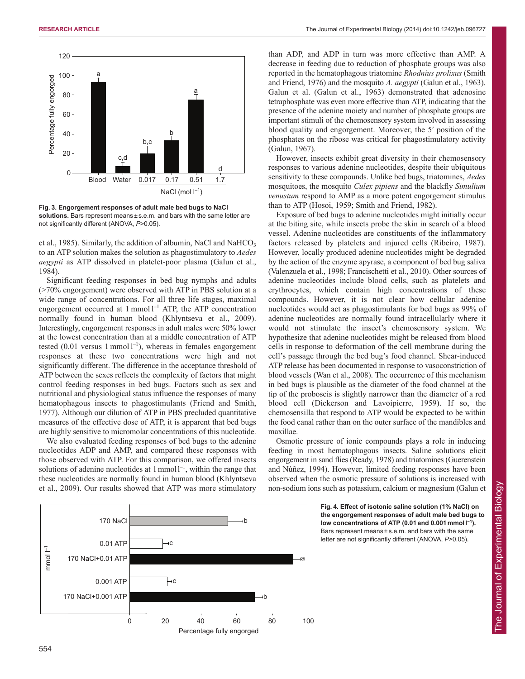



**Fig. 3. Engorgement responses of adult male bed bugs to NaCl solutions.** Bars represent means ± s.e.m. and bars with the same letter are not significantly different (ANOVA, *P*>0.05).

et al., 1985). Similarly, the addition of albumin, NaCl and NaHCO<sub>3</sub> to an ATP solution makes the solution as phagostimulatory to *Aedes aegypti* as ATP dissolved in platelet-poor plasma (Galun et al., 1984).

Significant feeding responses in bed bug nymphs and adults (>70% engorgement) were observed with ATP in PBS solution at a wide range of concentrations. For all three life stages, maximal engorgement occurred at  $1$  mmol  $1^{-1}$  ATP, the ATP concentration normally found in human blood (Khlyntseva et al., 2009). Interestingly, engorgement responses in adult males were 50% lower at the lowest concentration than at a middle concentration of ATP tested (0.01 versus 1 mmol  $l^{-1}$ ), whereas in females engorgement responses at these two concentrations were high and not significantly different. The difference in the acceptance threshold of ATP between the sexes reflects the complexity of factors that might control feeding responses in bed bugs. Factors such as sex and nutritional and physiological status influence the responses of many hematophagous insects to phagostimulants (Friend and Smith, 1977). Although our dilution of ATP in PBS precluded quantitative measures of the effective dose of ATP, it is apparent that bed bugs are highly sensitive to micromolar concentrations of this nucleotide.

We also evaluated feeding responses of bed bugs to the adenine nucleotides ADP and AMP, and compared these responses with those observed with ATP. For this comparison, we offered insects solutions of adenine nucleotides at  $1$  mmol  $1^{-1}$ , within the range that these nucleotides are normally found in human blood (Khlyntseva et al., 2009). Our results showed that ATP was more stimulatory than ADP, and ADP in turn was more effective than AMP. A decrease in feeding due to reduction of phosphate groups was also reported in the hematophagous triatomine *Rhodnius prolixus* (Smith and Friend, 1976) and the mosquito *A. aegypti* (Galun et al., 1963). Galun et al. (Galun et al., 1963) demonstrated that adenosine tetraphosphate was even more effective than ATP, indicating that the presence of the adenine moiety and number of phosphate groups are important stimuli of the chemosensory system involved in assessing blood quality and engorgement. Moreover, the 5′ position of the phosphates on the ribose was critical for phagostimulatory activity (Galun, 1967).

However, insects exhibit great diversity in their chemosensory responses to various adenine nucleotides, despite their ubiquitous sensitivity to these compounds. Unlike bed bugs, triatomines, *Aedes* mosquitoes, the mosquito *Culex pipiens* and the blackfly *Simulium venustum* respond to AMP as a more potent engorgement stimulus than to ATP (Hosoi, 1959; Smith and Friend, 1982).

Exposure of bed bugs to adenine nucleotides might initially occur at the biting site, while insects probe the skin in search of a blood vessel. Adenine nucleotides are constituents of the inflammatory factors released by platelets and injured cells (Ribeiro, 1987). However, locally produced adenine nucleotides might be degraded by the action of the enzyme apyrase, a component of bed bug saliva (Valenzuela et al., 1998; Francischetti et al., 2010). Other sources of adenine nucleotides include blood cells, such as platelets and erythrocytes, which contain high concentrations of these compounds. However, it is not clear how cellular adenine nucleotides would act as phagostimulants for bed bugs as 99% of adenine nucleotides are normally found intracellularly where it would not stimulate the insect's chemosensory system. We hypothesize that adenine nucleotides might be released from blood cells in response to deformation of the cell membrane during the cell's passage through the bed bug's food channel. Shear-induced ATP release has been documented in response to vasoconstriction of blood vessels (Wan et al., 2008). The occurrence of this mechanism in bed bugs is plausible as the diameter of the food channel at the tip of the proboscis is slightly narrower than the diameter of a red blood cell (Dickerson and Lavoipierre, 1959). If so, the chemosensilla that respond to ATP would be expected to be within the food canal rather than on the outer surface of the mandibles and maxillae.

Osmotic pressure of ionic compounds plays a role in inducing feeding in most hematophagous insects. Saline solutions elicit engorgement in sand flies (Ready, 1978) and triatomines (Guerenstein and Núñez, 1994). However, limited feeding responses have been observed when the osmotic pressure of solutions is increased with non-sodium ions such as potassium, calcium or magnesium (Galun et



**Fig. 4. Effect of isotonic saline solution (1% NaCl) on the engorgement responses of adult male bed bugs to low concentrations of ATP (0.01 and 0.001 mmol l<sup>−</sup><sup>1</sup> ).** Bars represent means ± s.e.m. and bars with the same letter are not significantly different (ANOVA, *P*>0.05).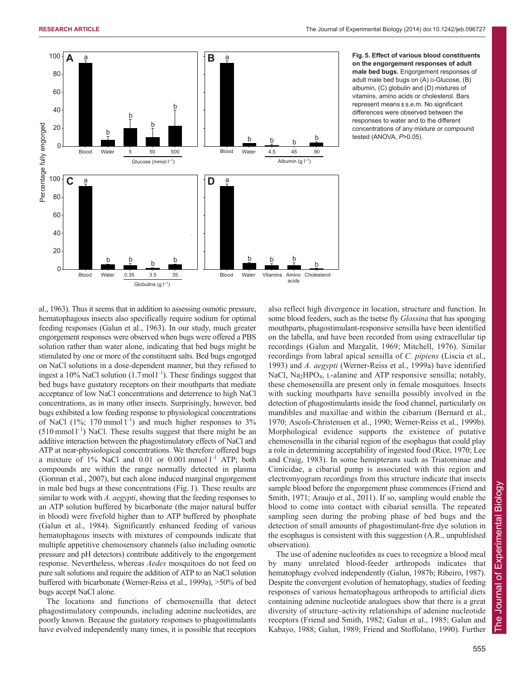

**Fig. 5. Effect of various blood constituents on the engorgement responses of adult male bed bugs.** Engorgement responses of adult male bed bugs on (A) D-Glucose, (B) albumin, (C) globulin and (D) mixtures of vitamins, amino acids or cholesterol. Bars represent means ± s.e.m. No significant differences were observed between the responses to water and to the different concentrations of any mixture or compound tested (ANOVA, *P*>0.05).

al., 1963). Thus it seems that in addition to assessing osmotic pressure, hematophagous insects also specifically require sodium for optimal feeding responses (Galun et al., 1963). In our study, much greater engorgement responses were observed when bugs were offered a PBS solution rather than water alone, indicating that bed bugs might be stimulated by one or more of the constituent salts. Bed bugs engorged on NaCl solutions in a dose-dependent manner, but they refused to ingest a 10% NaCl solution  $(1.7 \text{ mol}^{-1})$ . These findings suggest that bed bugs have gustatory receptors on their mouthparts that mediate acceptance of low NaCl concentrations and deterrence to high NaCl concentrations, as in many other insects. Surprisingly, however, bed bugs exhibited a low feeding response to physiological concentrations of NaCl (1%; 170 mmol  $l^{-1}$ ) and much higher responses to 3%  $(510 \text{ mmol l}^{-1})$  NaCl. These results suggest that there might be an additive interaction between the phagostimulatory effects of NaCl and ATP at near-physiological concentrations. We therefore offered bugs a mixture of  $1\%$  NaCl and 0.01 or 0.001 mmol  $1^{-1}$  ATP; both compounds are within the range normally detected in plasma (Gorman et al., 2007), but each alone induced marginal engorgement in male bed bugs at these concentrations (Fig. 1). These results are similar to work with *A. aegypti*, showing that the feeding responses to an ATP solution buffered by bicarbonate (the major natural buffer in blood) were fivefold higher than to ATP buffered by phosphate (Galun et al., 1984). Significantly enhanced feeding of various hematophagous insects with mixtures of compounds indicate that multiple appetitive chemosensory channels (also including osmotic pressure and pH detectors) contribute additively to the engorgement response. Nevertheless, whereas *Aedes* mosquitoes do not feed on pure salt solutions and require the addition of ATP to an NaCl solution buffered with bicarbonate (Werner-Reiss et al., 1999a), >50% of bed bugs accept NaCl alone.

The locations and functions of chemosensilla that detect phagostimulatory compounds, including adenine nucleotides, are poorly known. Because the gustatory responses to phagostimulants have evolved independently many times, it is possible that receptors also reflect high divergence in location, structure and function. In some blood feeders, such as the tsetse fly *Glossina* that has sponging mouthparts, phagostimulant-responsive sensilla have been identified on the labella, and have been recorded from using extracellular tip recordings (Galun and Margalit, 1969; Mitchell, 1976). Similar recordings from labral apical sensilla of *C. pipiens* (Liscia et al., 1993) and *A. aegypti* (Werner-Reiss et al., 1999a) have identified NaCl, Na<sub>2</sub>HPO<sub>4</sub>, L-alanine and ATP responsive sensilla; notably, these chemosensilla are present only in female mosquitoes. Insects with sucking mouthparts have sensilla possibly involved in the detection of phagostimulants inside the food channel, particularly on mandibles and maxillae and within the cibarium (Bernard et al., 1970; Ascoli-Christensen et al., 1990; Werner-Reiss et al., 1999b). Morphological evidence supports the existence of putative chemosensilla in the cibarial region of the esophagus that could play a role in determining acceptability of ingested food (Rice, 1970; Lee and Craig, 1983). In some hemipterans such as Triatominae and Cimicidae, a cibarial pump is associated with this region and electromyogram recordings from this structure indicate that insects sample blood before the engorgement phase commences (Friend and Smith, 1971; Araujo et al., 2011). If so, sampling would enable the blood to come into contact with cibarial sensilla. The repeated sampling seen during the probing phase of bed bugs and the detection of small amounts of phagostimulant-free dye solution in the esophagus is consistent with this suggestion (A.R., unpublished observation).

The use of adenine nucleotides as cues to recognize a blood meal by many unrelated blood-feeder arthropods indicates that hematophagy evolved independently (Galun, 1987b; Ribeiro, 1987). Despite the convergent evolution of hematophagy, studies of feeding responses of various hematophagous arthropods to artificial diets containing adenine nucleotide analogues show that there is a great diversity of structure–activity relationships of adenine nucleotide receptors (Friend and Smith, 1982; Galun et al., 1985; Galun and Kabayo, 1988; Galun, 1989; Friend and Stoffolano, 1990). Further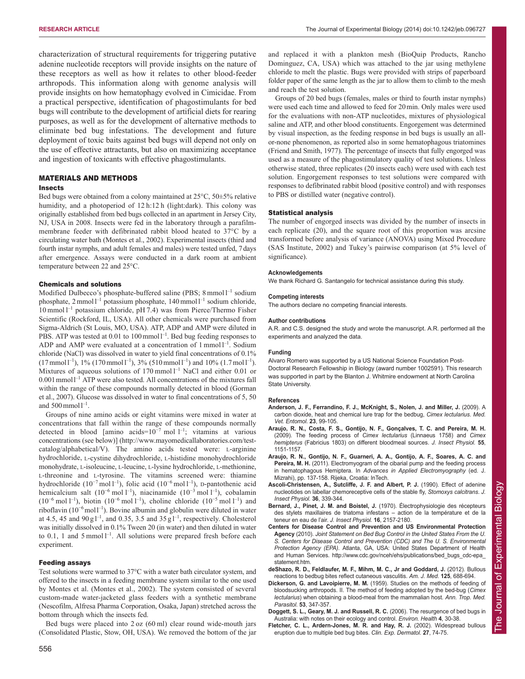characterization of structural requirements for triggering putative adenine nucleotide receptors will provide insights on the nature of these receptors as well as how it relates to other blood-feeder arthropods. This information along with genome analysis will provide insights on how hematophagy evolved in Cimicidae. From a practical perspective, identification of phagostimulants for bed bugs will contribute to the development of artificial diets for rearing purposes, as well as for the development of alternative methods to eliminate bed bug infestations. The development and future deployment of toxic baits against bed bugs will depend not only on the use of effective attractants, but also on maximizing acceptance and ingestion of toxicants with effective phagostimulants.

# MATERIALS AND METHODS

## Insects

Bed bugs were obtained from a colony maintained at 25°C, 50±5% relative humidity, and a photoperiod of 12 h:12 h (light:dark). This colony was originally established from bed bugs collected in an apartment in Jersey City, NJ, USA in 2008. Insects were fed in the laboratory through a parafilmmembrane feeder with defibrinated rabbit blood heated to 37°C by a circulating water bath (Montes et al., 2002). Experimental insects (third and fourth instar nymphs, and adult females and males) were tested unfed, 7days after emergence. Assays were conducted in a dark room at ambient temperature between 22 and 25°C.

#### Chemicals and solutions

Modified Dulbecco's phosphate-buffered saline (PBS; 8 mmol l<sup>-1</sup> sodium phosphate, 2 mmol l<sup>-1</sup> potassium phosphate, 140 mmol l<sup>-1</sup> sodium chloride, 10 mmol  $l^{-1}$  potassium chloride, pH 7.4) was from Pierce/Thermo Fisher Scientific (Rockford, IL, USA). All other chemicals were purchased from Sigma-Aldrich (St Louis, MO, USA). ATP, ADP and AMP were diluted in PBS. ATP was tested at  $0.01$  to  $100 \text{mmol}^{-1}$ . Bed bug feeding responses to ADP and AMP were evaluated at a concentration of  $1$  mmol  $I^{-1}$ . Sodium chloride (NaCl) was dissolved in water to yield final concentrations of 0.1%  $(17 \text{ mmol } l^{-1})$ , 1%  $(170 \text{ mmol } l^{-1})$ , 3%  $(510 \text{ mmol } l^{-1})$  and 10%  $(1.7 \text{ mol } l^{-1})$ . Mixtures of aqueous solutions of  $170 \text{ mmol } l^{-1}$  NaCl and either 0.01 or  $0.001$  mmol<sup> $1$ </sup> ATP were also tested. All concentrations of the mixtures fall within the range of these compounds normally detected in blood (Gorman et al., 2007). Glucose was dissolved in water to final concentrations of 5, 50 and  $500$  mmol  $l^{-1}$ .

Groups of nine amino acids or eight vitamins were mixed in water at concentrations that fall within the range of these compounds normally detected in blood [amino acids= $10^{-7}$  mol  $1^{-1}$ ; vitamins at various concentrations (see below)] (http://www.mayomedicallaboratories.com/testcatalog/alphabetical/V). The amino acids tested were: L-arginine hydrochloride, L-cystine dihydrochloride, L-histidine monohydrochloride monohydrate, L-isoleucine, L-leucine, L-lysine hydrochloride, L-methionine, L-threonine and L-tyrosine. The vitamins screened were: thiamine hydrochloride (10<sup>-7</sup> mol l<sup>-1</sup>), folic acid (10<sup>-6</sup> mol l<sup>-1</sup>), D-pantothenic acid hemicalcium salt (10<sup>−</sup><sup>6</sup> mol l–1), niacinamide (10−<sup>3</sup> mol l–1), cobalamin  $(10^{-6} \text{ mol } l^{-1})$ , biotin  $(10^{-6} \text{ mol } l^{-1})$ , choline chloride  $(10^{-5} \text{ mol } l^{-1})$  and riboflavin (10<sup>−</sup>6moll–1). Bovine albumin and globulin were diluted in water at 4.5, 45 and  $90 \text{ g l}^{-1}$ , and 0.35, 3.5 and 35 g l<sup>-1</sup>, respectively. Cholesterol was initially dissolved in 0.1% Tween 20 (in water) and then diluted in water to 0.1, 1 and 5 mmol  $I^{-1}$ . All solutions were prepared fresh before each experiment.

#### Feeding assays

Test solutions were warmed to 37°C with a water bath circulator system, and offered to the insects in a feeding membrane system similar to the one used by Montes et al. (Montes et al., 2002). The system consisted of several custom-made water-jacketed glass feeders with a synthetic membrane (Nescofilm, Alfresa Pharma Corporation, Osaka, Japan) stretched across the bottom through which the insects fed.

Bed bugs were placed into 2 oz (60 ml) clear round wide-mouth jars (Consolidated Plastic, Stow, OH, USA). We removed the bottom of the jar and replaced it with a plankton mesh (BioQuip Products, Rancho Dominguez, CA, USA) which was attached to the jar using methylene chloride to melt the plastic. Bugs were provided with strips of paperboard folder paper of the same length as the jar to allow them to climb to the mesh and reach the test solution.

Groups of 20 bed bugs (females, males or third to fourth instar nymphs) were used each time and allowed to feed for 20 min. Only males were used for the evaluations with non-ATP nucleotides, mixtures of physiological saline and ATP, and other blood constituents. Engorgement was determined by visual inspection, as the feeding response in bed bugs is usually an allor-none phenomenon, as reported also in some hematophagous triatomines (Friend and Smith, 1977). The percentage of insects that fully engorged was used as a measure of the phagostimulatory quality of test solutions. Unless otherwise stated, three replicates (20 insects each) were used with each test solution. Engorgement responses to test solutions were compared with responses to defibrinated rabbit blood (positive control) and with responses to PBS or distilled water (negative control).

## Statistical analysis

The number of engorged insects was divided by the number of insects in each replicate (20), and the square root of this proportion was arcsine transformed before analysis of variance (ANOVA) using Mixed Procedure (SAS Institute, 2002) and Tukey's pairwise comparison (at 5% level of significance).

#### **Acknowledgements**

We thank Richard G. Santangelo for technical assistance during this study.

#### **Competing interests**

The authors declare no competing financial interests.

#### **Author contributions**

A.R. and C.S. designed the study and wrote the manuscript. A.R. performed all the experiments and analyzed the data.

#### **Funding**

Alvaro Romero was supported by a US National Science Foundation Post-Doctoral Research Fellowship in Biology (award number 1002591). This research was supported in part by the Blanton J. Whitmire endowment at North Carolina State University.

#### **References**

- **Anderson, J. F., Ferrandino, F. J., McKnight, S., Nolen, J. and Miller, J.** (2009). A carbon dioxide, heat and chemical lure trap for the bedbug, *Cimex lectularius*. *Med. Vet. Entomol.* **23**, 99-105.
- **Araujo, R. N., Costa, F. S., Gontijo, N. F., Gonçalves, T. C. and Pereira, M. H.** (2009). The feeding process of *Cimex lectularius* (Linnaeus 1758) and *Cimex hemipterus* (Fabricius 1803) on different bloodmeal sources. *J. Insect Physiol.* **55**, 1151-1157.
- **Araujo, R. N., Gontijo, N. F., Guarneri, A. A., Gontijo, A. F., Soares, A. C. and Pereira, M. H.** (2011). Electromyogram of the cibarial pump and the feeding process in hematophagous Hemiptera. In *Advances in Applied Electromyography* (ed. J. Mizrahi), pp. 137-158. Rijeka, Croatia: InTech.
- **Ascoli-Christensen, A., Sutcliffe, J. F. and Albert, P. J.** (1990). Effect of adenine nucleotides on labellar chemoreceptive cells of the stable fly, *Stomoxys calcitrans*. *J. Insect Physiol.* **36**, 339-344.
- **Bernard, J., Pinet, J. M. and Boistel, J.** (1970). Électrophysiologie des récepteurs des stylets maxillaires de triatoma infestans – action de la température et de la teneur en eau de l'air. *J. Insect Physiol.* **16**, 2157-2180.
- **Centers for Disease Control and Prevention and US Environmental Protection Agency** (2010). *Joint Statement on Bed Bug Control in the United States From the U. S. Centers for Disease Control and Prevention (CDC) and The U. S. Environmental Protection Agency (EPA)*. Atlanta, GA, USA: United States Department of Health and Human Services. http://www.cdc.gov/nceh/ehs/publications/bed\_bugs\_cdc-epa\_ statement.htm.
- **deShazo, R. D., Feldlaufer, M. F., Mihm, M. C., Jr and Goddard, J.** (2012). Bullous reactions to bedbug bites reflect cutaneous vasculitis. *Am. J. Med.* **125**, 688-694.
- **Dickerson, G. and Lavoipierre, M. M.** (1959). Studies on the methods of feeding of bloodsucking arthropods. II. The method of feeding adopted by the bed-bug (*Cimex lectularius*) when obtaining a blood-meal from the mammalian host. *Ann. Trop. Med. Parasitol.* **53**, 347-357.
- **Doggett, S. L., Geary, M. J. and Russell, R. C.** (2006). The resurgence of bed bugs in Australia: with notes on their ecology and control. *Environ. Health* **4**, 30-38.
- Fletcher, C. L., Ardern-Jones, M. R. and Hay, R. J. (2002). Widespread bullous eruption due to multiple bed bug bites. *Clin. Exp. Dermatol.* **27**, 74-75.